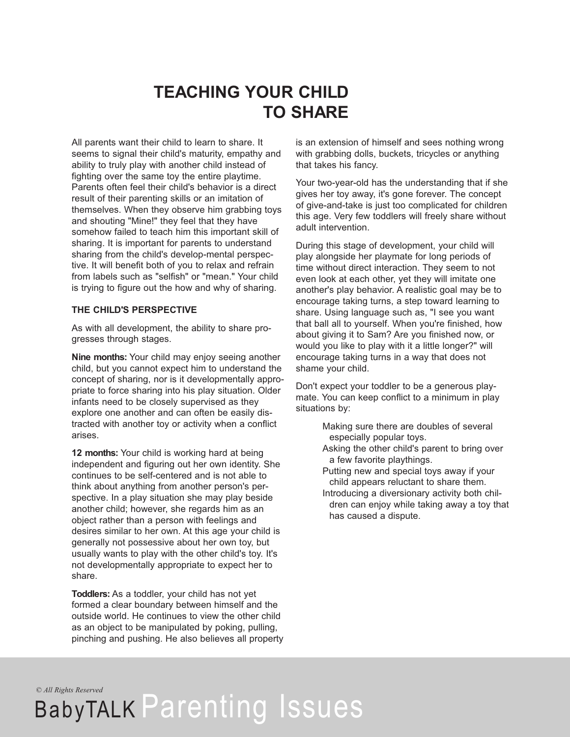## **TEACHING YOUR CHILD TO SHARE**

All parents want their child to learn to share. It seems to signal their child's maturity, empathy and ability to truly play with another child instead of fighting over the same toy the entire playtime. Parents often feel their child's behavior is a direct result of their parenting skills or an imitation of themselves. When they observe him grabbing toys and shouting "Mine!" they feel that they have somehow failed to teach him this important skill of sharing. It is important for parents to understand sharing from the child's develop-mental perspective. It will benefit both of you to relax and refrain from labels such as "selfish" or "mean." Your child is trying to figure out the how and why of sharing.

## **THE CHILD'S PERSPECTIVE**

As with all development, the ability to share progresses through stages.

**Nine months:** Your child may enjoy seeing another child, but you cannot expect him to understand the concept of sharing, nor is it developmentally appropriate to force sharing into his play situation. Older infants need to be closely supervised as they explore one another and can often be easily distracted with another toy or activity when a conflict arises.

**12 months:** Your child is working hard at being independent and figuring out her own identity. She continues to be self-centered and is not able to think about anything from another person's perspective. In a play situation she may play beside another child; however, she regards him as an object rather than a person with feelings and desires similar to her own. At this age your child is generally not possessive about her own toy, but usually wants to play with the other child's toy. It's not developmentally appropriate to expect her to share.

**Toddlers:** As a toddler, your child has not yet formed a clear boundary between himself and the outside world. He continues to view the other child as an object to be manipulated by poking, pulling, pinching and pushing. He also believes all property is an extension of himself and sees nothing wrong with grabbing dolls, buckets, tricycles or anything that takes his fancy.

Your two-year-old has the understanding that if she gives her toy away, it's gone forever. The concept of give-and-take is just too complicated for children this age. Very few toddlers will freely share without adult intervention.

During this stage of development, your child will play alongside her playmate for long periods of time without direct interaction. They seem to not even look at each other, yet they will imitate one another's play behavior. A realistic goal may be to encourage taking turns, a step toward learning to share. Using language such as, "I see you want that ball all to yourself. When you're finished, how about giving it to Sam? Are you finished now, or would you like to play with it a little longer?" will encourage taking turns in a way that does not shame your child.

Don't expect your toddler to be a generous playmate. You can keep conflict to a minimum in play situations by:

- Making sure there are doubles of several especially popular toys.
- Asking the other child's parent to bring over a few favorite playthings.
- Putting new and special toys away if your child appears reluctant to share them.
- Introducing a diversionary activity both children can enjoy while taking away a toy that has caused a dispute.

*© All Rights Reserved*

## BabyTALK Parenting Issues